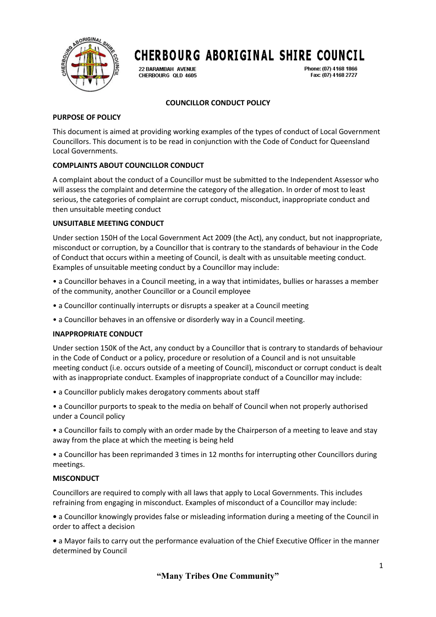

# **CHERBOURG ABORIGINAL SHIRE COUNCIL**

22 RARAMRAH AVENHE CHERBOURG QLD 4605 Phone: (07) 4168 1866 Fax: (07) 4168 2727

## **COUNCILLOR CONDUCT POLICY**

#### **PURPOSE OF POLICY**

This document is aimed at providing working examples of the types of conduct of Local Government Councillors. This document is to be read in conjunction with the Code of Conduct for Queensland Local Governments.

### **COMPLAINTS ABOUT COUNCILLOR CONDUCT**

A complaint about the conduct of a Councillor must be submitted to the Independent Assessor who will assess the complaint and determine the category of the allegation. In order of most to least serious, the categories of complaint are corrupt conduct, misconduct, inappropriate conduct and then unsuitable meeting conduct

#### **UNSUITABLE MEETING CONDUCT**

Under section 150H of the Local Government Act 2009 (the Act), any conduct, but not inappropriate, misconduct or corruption, by a Councillor that is contrary to the standards of behaviour in the Code of Conduct that occurs within a meeting of Council, is dealt with as unsuitable meeting conduct. Examples of unsuitable meeting conduct by a Councillor may include:

• a Councillor behaves in a Council meeting, in a way that intimidates, bullies or harasses a member of the community, another Councillor or a Council employee

- a Councillor continually interrupts or disrupts a speaker at a Council meeting
- a Councillor behaves in an offensive or disorderly way in a Council meeting.

#### **INAPPROPRIATE CONDUCT**

Under section 150K of the Act, any conduct by a Councillor that is contrary to standards of behaviour in the Code of Conduct or a policy, procedure or resolution of a Council and is not unsuitable meeting conduct (i.e. occurs outside of a meeting of Council), misconduct or corrupt conduct is dealt with as inappropriate conduct. Examples of inappropriate conduct of a Councillor may include:

• a Councillor publicly makes derogatory comments about staff

• a Councillor purports to speak to the media on behalf of Council when not properly authorised under a Council policy

• a Councillor fails to comply with an order made by the Chairperson of a meeting to leave and stay away from the place at which the meeting is being held

• a Councillor has been reprimanded 3 times in 12 months for interrupting other Councillors during meetings.

#### **MISCONDUCT**

Councillors are required to comply with all laws that apply to Local Governments. This includes refraining from engaging in misconduct. Examples of misconduct of a Councillor may include:

**•** a Councillor knowingly provides false or misleading information during a meeting of the Council in order to affect a decision

**•** a Mayor fails to carry out the performance evaluation of the Chief Executive Officer in the manner determined by Council

**"Many Tribes One Community"**